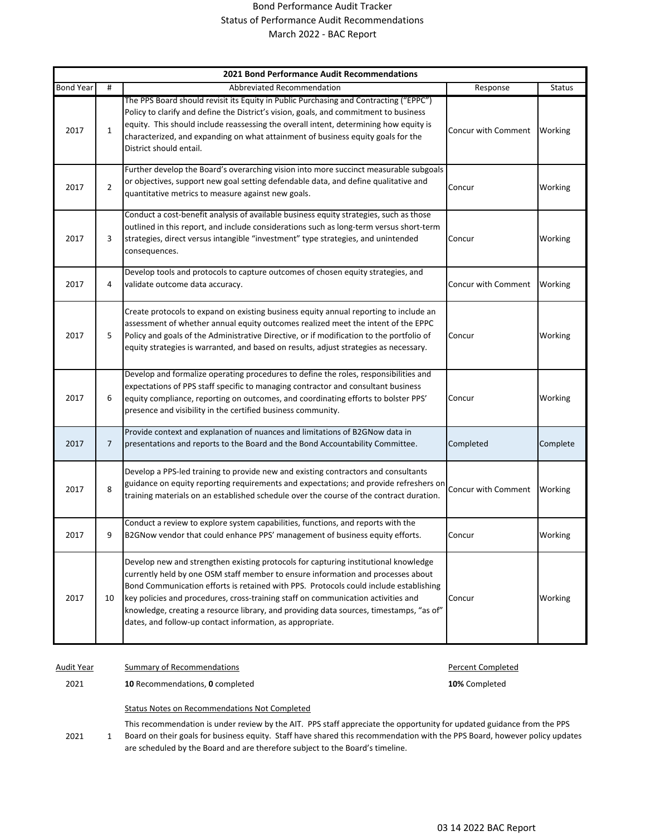## Bond Performance Audit Tracker Status of Performance Audit Recommendations March 2022 - BAC Report

| 2021 Bond Performance Audit Recommendations |                |                                                                                                                                                                                                                                                                                                                                                                                                                                                                                                               |                     |               |  |
|---------------------------------------------|----------------|---------------------------------------------------------------------------------------------------------------------------------------------------------------------------------------------------------------------------------------------------------------------------------------------------------------------------------------------------------------------------------------------------------------------------------------------------------------------------------------------------------------|---------------------|---------------|--|
| <b>Bond Year</b>                            | #              | Abbreviated Recommendation                                                                                                                                                                                                                                                                                                                                                                                                                                                                                    | Response            | <b>Status</b> |  |
| 2017                                        | $\mathbf{1}$   | The PPS Board should revisit its Equity in Public Purchasing and Contracting ("EPPC")<br>Policy to clarify and define the District's vision, goals, and commitment to business<br>equity. This should include reassessing the overall intent, determining how equity is<br>characterized, and expanding on what attainment of business equity goals for the<br>District should entail.                                                                                                                        | Concur with Comment | Working       |  |
| 2017                                        | $\overline{2}$ | Further develop the Board's overarching vision into more succinct measurable subgoals<br>or objectives, support new goal setting defendable data, and define qualitative and<br>quantitative metrics to measure against new goals.                                                                                                                                                                                                                                                                            | Concur              | Working       |  |
| 2017                                        | 3              | Conduct a cost-benefit analysis of available business equity strategies, such as those<br>outlined in this report, and include considerations such as long-term versus short-term<br>strategies, direct versus intangible "investment" type strategies, and unintended<br>consequences.                                                                                                                                                                                                                       | Concur              | Working       |  |
| 2017                                        | 4              | Develop tools and protocols to capture outcomes of chosen equity strategies, and<br>validate outcome data accuracy.                                                                                                                                                                                                                                                                                                                                                                                           | Concur with Comment | Working       |  |
| 2017                                        | 5              | Create protocols to expand on existing business equity annual reporting to include an<br>assessment of whether annual equity outcomes realized meet the intent of the EPPC<br>Policy and goals of the Administrative Directive, or if modification to the portfolio of<br>equity strategies is warranted, and based on results, adjust strategies as necessary.                                                                                                                                               | Concur              | Working       |  |
| 2017                                        | 6              | Develop and formalize operating procedures to define the roles, responsibilities and<br>expectations of PPS staff specific to managing contractor and consultant business<br>equity compliance, reporting on outcomes, and coordinating efforts to bolster PPS'<br>presence and visibility in the certified business community.                                                                                                                                                                               | Concur              | Working       |  |
| 2017                                        | $\overline{7}$ | Provide context and explanation of nuances and limitations of B2GNow data in<br>presentations and reports to the Board and the Bond Accountability Committee.                                                                                                                                                                                                                                                                                                                                                 | Completed           | Complete      |  |
| 2017                                        | 8              | Develop a PPS-led training to provide new and existing contractors and consultants<br>guidance on equity reporting requirements and expectations; and provide refreshers on<br>training materials on an established schedule over the course of the contract duration.                                                                                                                                                                                                                                        | Concur with Comment | Working       |  |
| 2017                                        | 9              | Conduct a review to explore system capabilities, functions, and reports with the<br>B2GNow vendor that could enhance PPS' management of business equity efforts.                                                                                                                                                                                                                                                                                                                                              | Concur              | Working       |  |
| 2017                                        | 10             | Develop new and strengthen existing protocols for capturing institutional knowledge<br>currently held by one OSM staff member to ensure information and processes about<br>Bond Communication efforts is retained with PPS. Protocols could include establishing<br>key policies and procedures, cross-training staff on communication activities and<br>knowledge, creating a resource library, and providing data sources, timestamps, "as of"<br>dates, and follow-up contact information, as appropriate. | Concur              | Working       |  |

Audit Year Summary of Recommendations **Audit Year** Percent Completed

2021 **10** Recommendations, **0** completed **10%** Completed

Status Notes on Recommendations Not Completed

2021 1 This recommendation is under review by the AIT. PPS staff appreciate the opportunity for updated guidance from the PPS Board on their goals for business equity. Staff have shared this recommendation with the PPS Board, however policy updates are scheduled by the Board and are therefore subject to the Board's timeline.